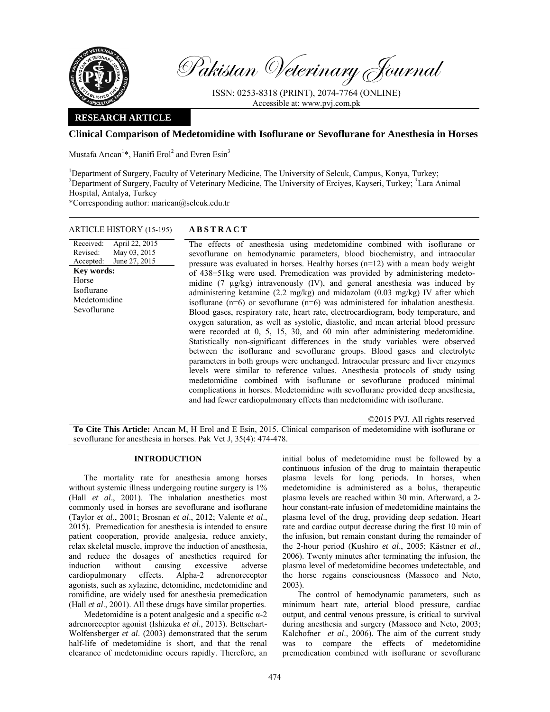

Received: Revised: Accepted:

Horse Isoflurane

Pakistan Veterinary Journal

ISSN: 0253-8318 (PRINT), 2074-7764 (ONLINE) Accessible at: www.pvj.com.pk

# **RESEARCH ARTICLE**

# **Clinical Comparison of Medetomidine with Isoflurane or Sevoflurane for Anesthesia in Horses**

Mustafa Arıcan<sup>1\*</sup>, Hanifi Erol<sup>2</sup> and Evren Esin<sup>3</sup>

<sup>1</sup>Department of Surgery, Faculty of Veterinary Medicine, The University of Selcuk, Campus, Konya, Turkey;<br><sup>2</sup>Department of Surgery, Faculty of Veterinary Medicine, The University of Frai*ves, Kaysari, Turkey*; <sup>3</sup>Lere A Department of Surgery, Faculty of Veterinary Medicine, The University of Erciyes, Kayseri, Turkey; <sup>3</sup>Lara Animal Hospital, Antalya, Turkey

\*Corresponding author: marican@selcuk.edu.tr

## ARTICLE HISTORY (15-195) **ABSTRACT**

April 22, 2015 May 03, 2015 June 27, 2015 The effects of anesthesia using medetomidine combined with isoflurane or sevoflurane on hemodynamic parameters, blood biochemistry, and intraocular pressure was evaluated in horses. Healthy horses (n=12) with a mean body weight of 438±51kg were used. Premedication was provided by administering medetomidine (7 µg/kg) intravenously (IV), and general anesthesia was induced by administering ketamine (2.2 mg/kg) and midazolam (0.03 mg/kg) IV after which isoflurane (n=6) or sevoflurane (n=6) was administered for inhalation anesthesia. Blood gases, respiratory rate, heart rate, electrocardiogram, body temperature, and oxygen saturation, as well as systolic, diastolic, and mean arterial blood pressure were recorded at 0, 5, 15, 30, and 60 min after administering medetomidine. Statistically non-significant differences in the study variables were observed between the isoflurane and sevoflurane groups. Blood gases and electrolyte parameters in both groups were unchanged. Intraocular pressure and liver enzymes levels were similar to reference values. Anesthesia protocols of study using medetomidine combined with isoflurane or sevoflurane produced minimal complications in horses. Medetomidine with sevoflurane provided deep anesthesia, and had fewer cardiopulmonary effects than medetomidine with isoflurane. **Key words:**  Medetomidine Sevoflurane

©2015 PVJ. All rights reserved

**To Cite This Article:** Arıcan M, H Erol and E Esin, 2015. Clinical comparison of medetomidine with isoflurane or sevoflurane for anesthesia in horses. Pak Vet J, 35(4): 474-478.

### **INTRODUCTION**

The mortality rate for anesthesia among horses without systemic illness undergoing routine surgery is  $1\%$ (Hall *et al*., 2001). The inhalation anesthetics most commonly used in horses are sevoflurane and isoflurane (Taylor *et al*., 2001; Brosnan *et al*., 2012; Valente *et al*., 2015). Premedication for anesthesia is intended to ensure patient cooperation, provide analgesia, reduce anxiety, relax skeletal muscle, improve the induction of anesthesia, and reduce the dosages of anesthetics required for induction without causing excessive adverse cardiopulmonary effects. Alpha-2 adrenoreceptor agonists, such as xylazine, detomidine, medetomidine and romifidine, are widely used for anesthesia premedication (Hall *et al*., 2001). All these drugs have similar properties.

Medetomidine is a potent analgesic and a specific  $\alpha$ -2 adrenoreceptor agonist (Ishizuka *et al*., 2013). Bettschart-Wolfensberger *et al*. (2003) demonstrated that the serum half-life of medetomidine is short, and that the renal clearance of medetomidine occurs rapidly. Therefore, an

initial bolus of medetomidine must be followed by a continuous infusion of the drug to maintain therapeutic plasma levels for long periods. In horses, when medetomidine is administered as a bolus, therapeutic plasma levels are reached within 30 min. Afterward, a 2 hour constant-rate infusion of medetomidine maintains the plasma level of the drug, providing deep sedation. Heart rate and cardiac output decrease during the first 10 min of the infusion, but remain constant during the remainder of the 2-hour period (Kushiro *et al*., 2005; Kästner *et al*., 2006). Twenty minutes after terminating the infusion, the plasma level of medetomidine becomes undetectable, and the horse regains consciousness (Massoco and Neto, 2003).

The control of hemodynamic parameters, such as minimum heart rate, arterial blood pressure, cardiac output, and central venous pressure, is critical to survival during anesthesia and surgery (Massoco and Neto, 2003; Kalchofner *et al*., 2006). The aim of the current study was to compare the effects of medetomidine premedication combined with isoflurane or sevoflurane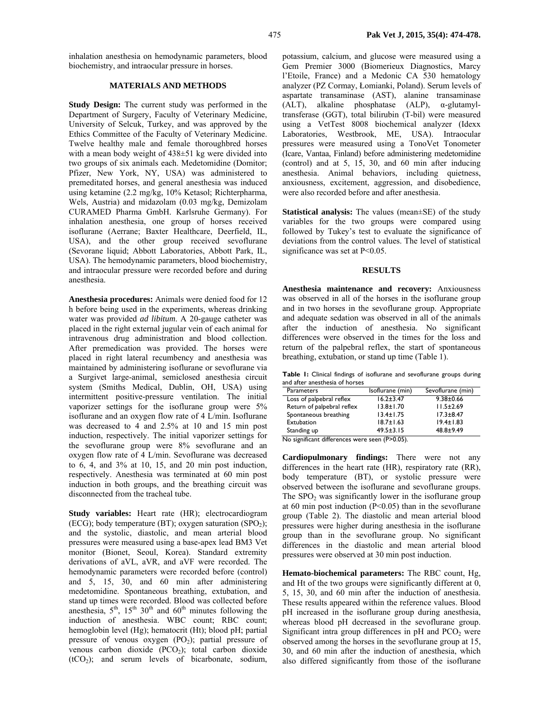inhalation anesthesia on hemodynamic parameters, blood biochemistry, and intraocular pressure in horses.

### **MATERIALS AND METHODS**

**Study Design:** The current study was performed in the Department of Surgery, Faculty of Veterinary Medicine, University of Selcuk, Turkey, and was approved by the Ethics Committee of the Faculty of Veterinary Medicine. Twelve healthy male and female thoroughbred horses with a mean body weight of  $438\pm51$  kg were divided into two groups of six animals each. Medetomidine (Domitor; Pfizer, New York, NY, USA) was administered to premeditated horses, and general anesthesia was induced using ketamine (2.2 mg/kg, 10% Ketasol; Richterpharma, Wels, Austria) and midazolam (0.03 mg/kg, Demizolam CURAMED Pharma GmbH. Karlsruhe Germany). For inhalation anesthesia, one group of horses received isoflurane (Aerrane; Baxter Healthcare, Deerfield, IL, USA), and the other group received sevoflurane (Sevorane liquid; Abbott Laboratories, Abbott Park, IL, USA). The hemodynamic parameters, blood biochemistry, and intraocular pressure were recorded before and during anesthesia.

**Anesthesia procedures:** Animals were denied food for 12 h before being used in the experiments, whereas drinking water was provided *ad libitum*. A 20-gauge catheter was placed in the right external jugular vein of each animal for intravenous drug administration and blood collection. After premedication was provided. The horses were placed in right lateral recumbency and anesthesia was maintained by administering isoflurane or sevoflurane via a Surgivet large-animal, semiclosed anesthesia circuit system (Smiths Medical, Dublin, OH, USA) using intermittent positive-pressure ventilation. The initial vaporizer settings for the isoflurane group were 5% isoflurane and an oxygen flow rate of 4 L/min. Isoflurane was decreased to 4 and 2.5% at 10 and 15 min post induction, respectively. The initial vaporizer settings for the sevoflurane group were 8% sevoflurane and an oxygen flow rate of 4 L/min. Sevoflurane was decreased to 6, 4, and 3% at 10, 15, and 20 min post induction, respectively. Anesthesia was terminated at 60 min post induction in both groups, and the breathing circuit was disconnected from the tracheal tube.

**Study variables:** Heart rate (HR); electrocardiogram (ECG); body temperature (BT); oxygen saturation (SPO<sub>2</sub>); and the systolic, diastolic, and mean arterial blood pressures were measured using a base-apex lead BM3 Vet monitor (Bionet, Seoul, Korea). Standard extremity derivations of aVL, aVR, and aVF were recorded. The hemodynamic parameters were recorded before (control) and 5, 15, 30, and 60 min after administering medetomidine. Spontaneous breathing, extubation, and stand up times were recorded. Blood was collected before anesthesia,  $5<sup>th</sup>$ ,  $15<sup>th</sup>$  30<sup>th</sup> and 60<sup>th</sup> minutes following the induction of anesthesia. WBC count; RBC count; hemoglobin level (Hg); hematocrit (Ht); blood pH; partial pressure of venous oxygen  $(PO<sub>2</sub>)$ ; partial pressure of venous carbon dioxide  $(PCO<sub>2</sub>)$ ; total carbon dioxide  $(tCO<sub>2</sub>)$ ; and serum levels of bicarbonate, sodium,

potassium, calcium, and glucose were measured using a Gem Premier 3000 (Biomerieux Diagnostics, Marcy l'Etoile, France) and a Medonic CA 530 hematology analyzer (PZ Cormay, Łomianki, Poland). Serum levels of aspartate transaminase (AST), alanine transaminase (ALT), alkaline phosphatase (ALP), α-glutamyltransferase (GGT), total bilirubin (T-bil) were measured using a VetTest 8008 biochemical analyzer (Idexx Laboratories, Westbrook, ME, USA). Intraocular pressures were measured using a TonoVet Tonometer (Icare, Vantaa, Finland) before administering medetomidine (control) and at 5, 15, 30, and 60 min after inducing anesthesia. Animal behaviors, including quietness, anxiousness, excitement, aggression, and disobedience, were also recorded before and after anesthesia.

**Statistical analysis:** The values (mean±SE) of the study variables for the two groups were compared using followed by Tukey's test to evaluate the significance of deviations from the control values. The level of statistical significance was set at P<0.05.

#### **RESULTS**

**Anesthesia maintenance and recovery:** Anxiousness was observed in all of the horses in the isoflurane group and in two horses in the sevoflurane group. Appropriate and adequate sedation was observed in all of the animals after the induction of anesthesia. No significant differences were observed in the times for the loss and return of the palpebral reflex, the start of spontaneous breathing, extubation, or stand up time (Table 1).

**Table 1:** Clinical findings of isoflurane and sevoflurane groups during and after anesthesia of horses

| <b>Parameters</b>                              | Isoflurane (min) | Sevoflurane (min) |  |  |
|------------------------------------------------|------------------|-------------------|--|--|
| Loss of palpebral reflex                       | $16.2 \pm 3.47$  | $9.38 \pm 0.66$   |  |  |
| Return of palpebral reflex                     | $13.8 \pm 1.70$  | $11.5 \pm 2.69$   |  |  |
| Spontaneous breathing                          | $13.4 \pm 1.75$  | $17.3 \pm 8.47$   |  |  |
| Extubation                                     | $18.7 \pm 1.63$  | $19.4 \pm 1.83$   |  |  |
| Standing up                                    | $49.5 \pm 3.15$  | $48.8 + 9.49$     |  |  |
| No significant differences were seen (P>0.05). |                  |                   |  |  |

**Cardiopulmonary findings:** There were not any differences in the heart rate (HR), respiratory rate (RR), body temperature (BT), or systolic pressure were observed between the isoflurane and sevoflurane groups. The  $SPO<sub>2</sub>$  was significantly lower in the isoflurane group at 60 min post induction (P<0.05) than in the sevoflurane group (Table 2). The diastolic and mean arterial blood pressures were higher during anesthesia in the isoflurane group than in the sevoflurane group. No significant differences in the diastolic and mean arterial blood pressures were observed at 30 min post induction.

**Hemato-biochemical parameters:** The RBC count, Hg, and Ht of the two groups were significantly different at 0, 5, 15, 30, and 60 min after the induction of anesthesia. These results appeared within the reference values. Blood pH increased in the isoflurane group during anesthesia, whereas blood pH decreased in the sevoflurane group. Significant intra group differences in  $pH$  and  $PCO<sub>2</sub>$  were observed among the horses in the sevoflurane group at 15, 30, and 60 min after the induction of anesthesia, which also differed significantly from those of the isoflurane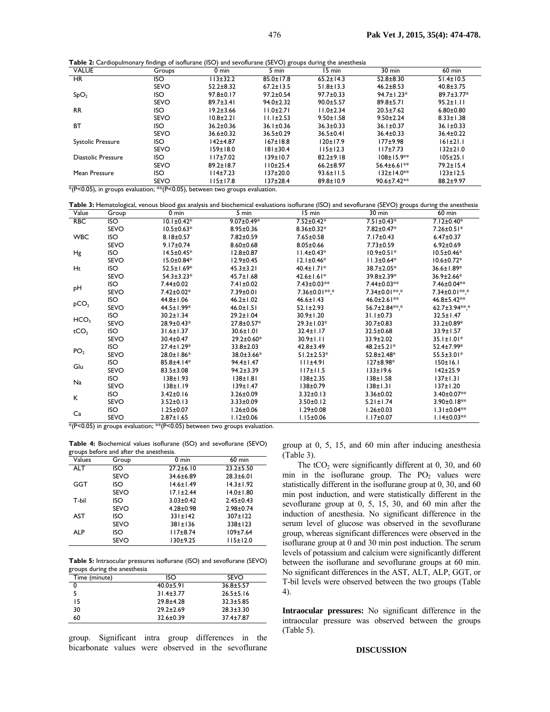**Table 2:** Cardiopulmonary findings of isoflurane (ISO) and sevoflurane (SEVO) groups during the anesthesia

| <b>VALUE</b>                                                            | Groups                                                                        | 0 min           | 5 min           | 15 min          | $30$ min           | $60$ min         |
|-------------------------------------------------------------------------|-------------------------------------------------------------------------------|-----------------|-----------------|-----------------|--------------------|------------------|
| <b>HR</b>                                                               | ISO                                                                           | $13 + 32.2$     | $85.0 \pm 17.8$ | $65.2 \pm 14.3$ | $52.8 \pm 8.30$    | $51.4 \pm 10.5$  |
|                                                                         | <b>SEVO</b>                                                                   | $52.2 + 8.32$   | $67.2 \pm 13.5$ | $51.8 \pm 13.3$ | $46.2 \pm 8.53$    | $40.8 \pm 3.75$  |
| SpO <sub>2</sub>                                                        | ISO                                                                           | $97.8 \pm 0.17$ | $97.2 \pm 0.54$ | $97.7 \pm 0.33$ | $94.7 \pm 1.23*$   | $89.7 \pm 3.77*$ |
|                                                                         | <b>SEVO</b>                                                                   | $89.7 \pm 3.41$ | $94.0 \pm 2.32$ | $90.0 + 5.57$   | $89.8 \pm 5.71$    | $95.2 \pm 1.11$  |
| <b>RR</b>                                                               | ISO                                                                           | $19.2 \pm 3.66$ | $11.0 \pm 2.71$ | $11.0 \pm 2.34$ | $20.5 \pm 7.62$    | $6.80 \pm 0.80$  |
|                                                                         | <b>SEVO</b>                                                                   | $10.8 + 2.21$   | $11.1 \pm 2.53$ | $9.50 \pm 1.58$ | $9.50 \pm 2.24$    | $8.33 \pm 1.38$  |
| <b>BT</b>                                                               | ISO                                                                           | $36.2 \pm 0.36$ | $36.1 \pm 0.36$ | $36.3 \pm 0.33$ | $36.1 \pm 0.37$    | $36.1 \pm 0.33$  |
|                                                                         | <b>SEVO</b>                                                                   | $36.6 \pm 0.32$ | $36.5 \pm 0.29$ | $36.5 \pm 0.41$ | $36.4 \pm 0.33$    | $36.4 \pm 0.22$  |
| <b>Systolic Pressure</b>                                                | ISO                                                                           | $142 + 4.87$    | $167 \pm 18.8$  | $120 \pm 17.9$  | $177 + 9.98$       | $161 \pm 21.1$   |
|                                                                         | <b>SEVO</b>                                                                   | 159±18.0        | 181±30.4        | $115 \pm 12.3$  | $117 + 7.73$       | $132 + 21.0$     |
| Diastolic Pressure                                                      | ISO                                                                           | $117 + 7.02$    | 139±10.7        | $82.2 + 9.18$   | $108 \pm 15.9$ **  | $105 \pm 25.1$   |
|                                                                         | <b>SEVO</b>                                                                   | $89.2 \pm 18.7$ | $110+25.4$      | $66.2 + 8.97$   | $56.4 \pm 6.6$  ** | $79.2 \pm 15.4$  |
| Mean Pressure                                                           | ISO                                                                           | 114±7.23        | $137 + 20.0$    | $93.6 \pm 11.5$ | $132 \pm 14.0$ **  | $123 \pm 12.5$   |
| $*$ /D $\geq$ 0.0 $\geq$<br>which are a common the contract of the con- | <b>SEVO</b><br>$+$ $+$ $\sqrt{D}$ $\sqrt{D}$ $\sqrt{D}$ $\sqrt{D}$ $\sqrt{D}$ | l 15±17.8       | 137±28.4        | $89.8 \pm 10.9$ | $90.6 \pm 7.42**$  | 88.2±9.97        |

|                  |             | SEVO             | II5±17.8                                                                        | 137±28.4<br>89.8±10.9                                                                                                                              | $90.6 \pm 7.42$    | 88.2±9.97            |
|------------------|-------------|------------------|---------------------------------------------------------------------------------|----------------------------------------------------------------------------------------------------------------------------------------------------|--------------------|----------------------|
|                  |             |                  | $*(P<0.05)$ , in groups evaluation; ** (P<0.05), between two groups evaluation. |                                                                                                                                                    |                    |                      |
|                  |             |                  |                                                                                 |                                                                                                                                                    |                    |                      |
|                  |             |                  |                                                                                 | Table 3: Hematological, venous blood gas analysis and biochemical evaluations isoflurane (ISO) and sevoflurane (SEVO) groups during the anesthesia |                    |                      |
| Value            | Group       | $0 \text{ min}$  | 5 min                                                                           | 15 min                                                                                                                                             | $30 \text{ min}$   | $60$ min             |
| <b>RBC</b>       | ISO.        | $10.1 \pm 0.42*$ | $9.07 \pm 0.49*$                                                                | $7.52 \pm 0.42*$                                                                                                                                   | $7.51 \pm 0.43*$   | $7.12 \pm 0.40*$     |
|                  | <b>SEVO</b> | $10.5 \pm 0.63*$ | $8.95 \pm 0.36$                                                                 | $8.36 \pm 0.32*$                                                                                                                                   | 7.82±0.47*         | $7.26 \pm 0.51$ *    |
| <b>WBC</b>       | <b>ISO</b>  | $8.18 \pm 0.57$  | $7.82 \pm 0.59$                                                                 | $7.65 \pm 0.58$                                                                                                                                    | $7.17 \pm 0.43$    | $6.47 \pm 0.37$      |
|                  | <b>SEVO</b> | $9.17 \pm 0.74$  | $8.60 \pm 0.68$                                                                 | $8.05 \pm 0.66$                                                                                                                                    | $7.73 \pm 0.59$    | $6.92 \pm 0.69$      |
| Hg               | ISO         | $14.5 \pm 0.45*$ | $12.8 \pm 0.87$                                                                 | $11.4 \pm 0.43*$                                                                                                                                   | $10.9 \pm 0.51*$   | $10.5 \pm 0.46*$     |
|                  | <b>SEVO</b> | $15.0 \pm 0.84*$ | $12.9 \pm 0.45$                                                                 | $12.1 \pm 0.46*$                                                                                                                                   | $11.3 \pm 0.64*$   | $10.6 \pm 0.72*$     |
| Ht               | <b>ISO</b>  | $52.5 \pm 1.69*$ | $45.3 \pm 3.21$                                                                 | $40.4 \pm 1.71*$                                                                                                                                   | 38.7±2.05*         | 36.6±1.89*           |
|                  | <b>SEVO</b> | $54.3 \pm 3.23*$ | $45.7 \pm 1.68$                                                                 | $42.6 \pm 1.61*$                                                                                                                                   | 39.8±2.39*         | 36.9±2.66*           |
|                  | <b>ISO</b>  | $7.44 \pm 0.02$  | $7.41 \pm 0.02$                                                                 | $7.43 \pm 0.03**$                                                                                                                                  | $7.44 \pm 0.03**$  | 7.46±0.04**          |
| рH               | <b>SEVO</b> | 7.42±0.02*       | 7.39±0.01                                                                       | 7.36±0.01**.*                                                                                                                                      | 7.34±0.01**.*      | 7.34±0.01**.*        |
|                  | <b>ISO</b>  | $44.8 \pm 1.06$  | $46.2 \pm 1.02$                                                                 | $46.6 \pm 1.43$                                                                                                                                    | $46.0 \pm 2.6$  ** | 46.8±5.42**          |
| pCO <sub>2</sub> | <b>SEVO</b> | 44.5±1.99*       | $46.0 \pm 1.51$                                                                 | $52.1 \pm 2.93$                                                                                                                                    | 56.7±2.84 ***      | $62.7 \pm 3.94**$ .* |
|                  | ISO         | $30.2 \pm 1.34$  | $29.2 \pm 1.04$                                                                 | $30.9 \pm 1.20$                                                                                                                                    | $31.1 \pm 0.73$    | $32.5 \pm 1.47$      |
| HCO <sub>3</sub> | <b>SEVO</b> | 28.9±0.43*       | 27.8±0.57*                                                                      | $29.3 \pm 1.03*$                                                                                                                                   | $30.7 \pm 0.83$    | 33.2±0.89*           |
| tCO <sub>2</sub> | <b>ISO</b>  | $31.6 \pm 1.37$  | $30.6 \pm 1.01$                                                                 | $32.4 \pm 1.17$                                                                                                                                    | $32.5 \pm 0.68$    | 33.9±1.57            |
|                  | <b>SEVO</b> | 30.4±0.47        | $29.2 \pm 0.60*$                                                                | $30.9 \pm 1.11$                                                                                                                                    | $33.9 \pm 2.02$    | $35.1 \pm 1.01*$     |
|                  | ISO         | $27.4 \pm 1.29*$ | 33.8±2.03                                                                       | $42.8 \pm 3.49$                                                                                                                                    | $48.2 \pm 5.21*$   | 52.4±7.99*           |
| PO <sub>2</sub>  | <b>SEVO</b> | 28.0±1.86*       | 38.0±3.66*                                                                      | $51.2 \pm 2.53*$                                                                                                                                   | $52.8 \pm 2.48*$   | $55.5 \pm 3.01*$     |
|                  | <b>ISO</b>  | 85.8±4.14*       | 94.4±1.47                                                                       | 111±4.91                                                                                                                                           | $127 \pm 8.98*$    | 150±16.1             |
| Glu              | <b>SEVO</b> | $83.5 \pm 3.08$  | $94.2 \pm 3.39$                                                                 | 117±11.5                                                                                                                                           | $133 \pm 19.6$     | $142 \pm 25.9$       |
|                  | <b>ISO</b>  | 138±1.93         | $138 \pm 1.81$                                                                  | 138±2.35                                                                                                                                           | 138±1.58           | $137 \pm 1.31$       |
| Na               | CDU         | $120 + 10$       | $120 + 147$                                                                     | $130 + 0.70$                                                                                                                                       | $120 + 121$        | $127 + 120$          |

SEVO 138±1.19 139±1.47 138±0.79 138±1.31 137±1.20  $K = \frac{150}{2510} = \frac{3.42 \pm 0.16}{25140} = \frac{3.26 \pm 0.09}{252 \pm 0.02} = \frac{3.32 \pm 0.13}{25010} = \frac{3.36 \pm 0.02}{521 \pm 0.74} = \frac{3.90 \pm 0.07 \times 10^{-10}}{2510}$ 

Ca ISO 1.25±0.07 1.26±0.06 1.29±0.08 1.26±0.03 1.31±0.04\*\*

SEVO 3.52±0.13 3.33±0.09 3.50±0.12 5.21±1.74 3.90±0.18<sup>\*\*</sup>

SEVO 2.87±1.65 1.12±0.06 1.15±0.06 1.17±0.07 1.14±0.03\*\*

 $*(P<0.05)$  in groups evaluation;  $**$ (P<0.05) between two groups evaluation.

**Table 4:** Biochemical values isoflurane (ISO) and sevoflurane (SEVO) groups before and after the anesthesia.

| Group       | 0 min           | $60$ min        |
|-------------|-----------------|-----------------|
| ISO         | $27.2 \pm 6.10$ | $23.2 \pm 5.50$ |
| <b>SEVO</b> | $34.6 \pm 6.89$ | $28.3 + 6.01$   |
| ISO         | $14.6 \pm 1.49$ | $14.3 \pm 1.92$ |
| <b>SEVO</b> | $17.1 \pm 2.44$ | $14.0 \pm 1.80$ |
| ISO         | $3.03 \pm 0.42$ | $2.45 \pm 0.43$ |
| <b>SEVO</b> | $4.28 \pm 0.98$ | $2.98 \pm 0.74$ |
| ISO         | $331 \pm 142$   | $307 \pm 122$   |
| <b>SEVO</b> | 381±136         | $338 \pm 123$   |
| ISO         | $117 + 8.74$    | $109 \pm 7.64$  |
| <b>SEVO</b> | 130±9.25        | $115 \pm 12.0$  |
|             |                 |                 |

**Table 5:** Intraocular pressures isoflurane (ISO) and sevoflurane (SEVO) groups during the anesthesia

| Time (minute) | ISO             | SEVO            |
|---------------|-----------------|-----------------|
| 0             | $40.0 + 5.91$   | $36.8 \pm 5.57$ |
|               | $31.4 \pm 3.77$ | $26.5 \pm 5.16$ |
| 15            | $29.8 + 4.28$   | $32.3 \pm 5.85$ |
| 30            | $29.2 \pm 2.69$ | $28.3 \pm 3.30$ |
| 60            | $32.6 \pm 0.39$ | $37.4 \pm 7.87$ |

group. Significant intra group differences in the bicarbonate values were observed in the sevoflurane

group at 0, 5, 15, and 60 min after inducing anesthesia (Table 3).

The  $tCO<sub>2</sub>$  were significantly different at 0, 30, and 60 min in the isoflurane group. The  $PO_2$  values were statistically different in the isoflurane group at 0, 30, and 60 min post induction, and were statistically different in the sevoflurane group at 0, 5, 15, 30, and 60 min after the induction of anesthesia. No significant difference in the serum level of glucose was observed in the sevoflurane group, whereas significant differences were observed in the isoflurane group at 0 and 30 min post induction. The serum levels of potassium and calcium were significantly different between the isoflurane and sevoflurane groups at 60 min. No significant differences in the AST, ALT, ALP, GGT, or T-bil levels were observed between the two groups (Table 4).

**Intraocular pressures:** No significant difference in the intraocular pressure was observed between the groups (Table 5).

### **DISCUSSION**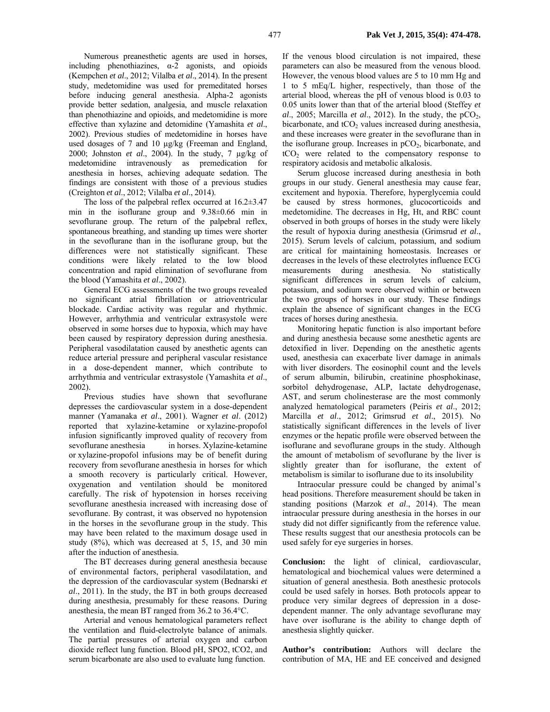Numerous preanesthetic agents are used in horses, including phenothiazines,  $\alpha$ -2 agonists, and opioids (Kempchen *et al*., 2012; Vilalba *et al*., 2014). In the present study, medetomidine was used for premeditated horses before inducing general anesthesia. Alpha-2 agonists provide better sedation, analgesia, and muscle relaxation than phenothiazine and opioids, and medetomidine is more effective than xylazine and detomidine (Yamashita *et al*., 2002). Previous studies of medetomidine in horses have used dosages of 7 and 10 µg/kg (Freeman and England, 2000; Johnston *et al*., 2004). In the study, 7 µg/kg of medetomidine intravenously as premedication for anesthesia in horses, achieving adequate sedation. The findings are consistent with those of a previous studies (Creighton *et al*., 2012; Vilalba *et al*., 2014).

The loss of the palpebral reflex occurred at 16.2±3.47 min in the isoflurane group and 9.38±0.66 min in sevoflurane group. The return of the palpebral reflex, spontaneous breathing, and standing up times were shorter in the sevoflurane than in the isoflurane group, but the differences were not statistically significant. These conditions were likely related to the low blood concentration and rapid elimination of sevoflurane from the blood (Yamashita *et al*., 2002).

General ECG assessments of the two groups revealed no significant atrial fibrillation or atrioventricular blockade. Cardiac activity was regular and rhythmic. However, arrhythmia and ventricular extrasystole were observed in some horses due to hypoxia, which may have been caused by respiratory depression during anesthesia. Peripheral vasodilatation caused by anesthetic agents can reduce arterial pressure and peripheral vascular resistance in a dose-dependent manner, which contribute to arrhythmia and ventricular extrasystole (Yamashita *et al*., 2002).

Previous studies have shown that sevoflurane depresses the cardiovascular system in a dose-dependent manner (Yamanaka *et al*., 2001). Wagner *et al*. (2012) reported that xylazine-ketamine or xylazine-propofol infusion significantly improved quality of recovery from sevoflurane anesthesia in horses. Xylazine-ketamine or xylazine-propofol infusions may be of benefit during recovery from sevoflurane anesthesia in horses for which a smooth recovery is particularly critical. However, oxygenation and ventilation should be monitored carefully. The risk of hypotension in horses receiving sevoflurane anesthesia increased with increasing dose of sevoflurane. By contrast, it was observed no hypotension in the horses in the sevoflurane group in the study. This may have been related to the maximum dosage used in study (8%), which was decreased at 5, 15, and 30 min after the induction of anesthesia.

The BT decreases during general anesthesia because of environmental factors, peripheral vasodilatation, and the depression of the cardiovascular system (Bednarski *et al*., 2011). In the study, the BT in both groups decreased during anesthesia, presumably for these reasons. During anesthesia, the mean BT ranged from 36.2 to 36.4°C.

Arterial and venous hematological parameters reflect the ventilation and fluid-electrolyte balance of animals. The partial pressures of arterial oxygen and carbon dioxide reflect lung function. Blood pH, SPO2, tCO2, and serum bicarbonate are also used to evaluate lung function.

If the venous blood circulation is not impaired, these parameters can also be measured from the venous blood. However, the venous blood values are 5 to 10 mm Hg and 1 to 5 mEq/L higher, respectively, than those of the arterial blood, whereas the pH of venous blood is 0.03 to 0.05 units lower than that of the arterial blood (Steffey *et*   $al., 2005;$  Marcilla *et al.*, 2012). In the study, the  $pCO<sub>2</sub>$ , bicarbonate, and  $tCO<sub>2</sub>$  values increased during anesthesia, and these increases were greater in the sevoflurane than in the isoflurane group. Increases in  $pCO<sub>2</sub>$ , bicarbonate, and  $tCO<sub>2</sub>$  were related to the compensatory response to respiratory acidosis and metabolic alkalosis.

Serum glucose increased during anesthesia in both groups in our study. General anesthesia may cause fear, excitement and hypoxia. Therefore, hyperglycemia could be caused by stress hormones, glucocorticoids and medetomidine. The decreases in Hg, Ht, and RBC count observed in both groups of horses in the study were likely the result of hypoxia during anesthesia (Grimsrud *et al*., 2015). Serum levels of calcium, potassium, and sodium are critical for maintaining homeostasis. Increases or decreases in the levels of these electrolytes influence ECG measurements during anesthesia. No statistically significant differences in serum levels of calcium, potassium, and sodium were observed within or between the two groups of horses in our study. These findings explain the absence of significant changes in the ECG traces of horses during anesthesia.

Monitoring hepatic function is also important before and during anesthesia because some anesthetic agents are detoxified in liver. Depending on the anesthetic agents used, anesthesia can exacerbate liver damage in animals with liver disorders. The eosinophil count and the levels of serum albumin, bilirubin, creatinine phosphokinase, sorbitol dehydrogenase, ALP, lactate dehydrogenase, AST, and serum cholinesterase are the most commonly analyzed hematological parameters (Peiris *et al*., 2012; Marcilla *et al*., 2012; Grimsrud *et al*., 2015). No statistically significant differences in the levels of liver enzymes or the hepatic profile were observed between the isoflurane and sevoflurane groups in the study. Although the amount of metabolism of sevoflurane by the liver is slightly greater than for isoflurane, the extent of metabolism is similar to isoflurane due to its insolubility

Intraocular pressure could be changed by animal's head positions. Therefore measurement should be taken in standing positions (Marzok *et al*., 2014). The mean intraocular pressure during anesthesia in the horses in our study did not differ significantly from the reference value. These results suggest that our anesthesia protocols can be used safely for eye surgeries in horses.

**Conclusion:** the light of clinical, cardiovascular, hematological and biochemical values were determined a situation of general anesthesia. Both anesthesic protocols could be used safely in horses. Both protocols appear to produce very similar degrees of depression in a dosedependent manner. The only advantage sevoflurane may have over isoflurane is the ability to change depth of anesthesia slightly quicker.

**Author's contribution:** Authors will declare the contribution of MA, HE and EE conceived and designed